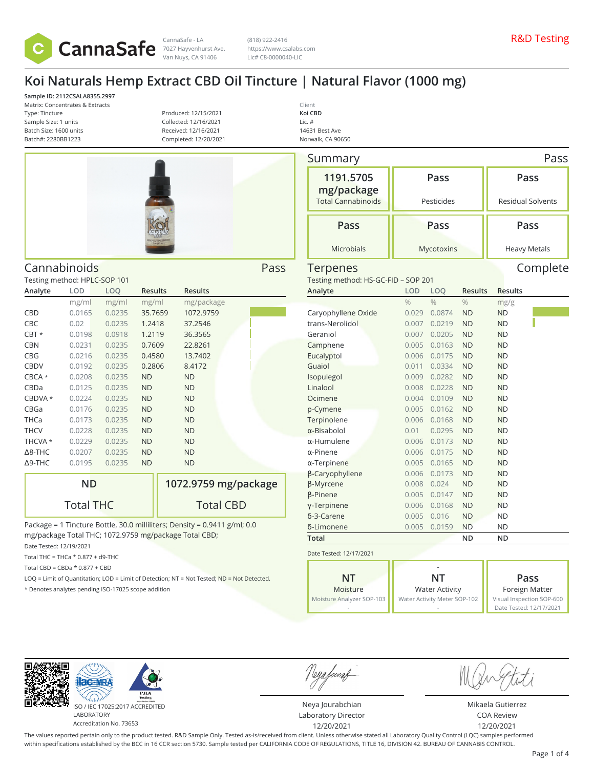

CannaSafe - LA (818) 922-2416 (818) 922-2416 (818) 922-2416 (818) 922-2416 (818) 922-2416 (818) 922-2416 (818) 922-2416 Van Nuys, CA 91406

(818) 922-2416 https://www.csalabs.com Lic# C8-0000040-LIC

# **Koi Naturals Hemp Extract CBD Oil Tincture | Natural Flavor (1000 mg)**

**Sample ID: 2112CSALA8355.2997** Matrix: Concentrates & Extracts Type: Tincture Sample Size: 1 units Batch Size: 1600 units Batch#: 2280BB1223

Testing method: HPLC-SOP 101

**Analyte LOD LOQ Results Results**

CBD 0.0165 0.0235 35.7659 1072.9759 CBC 0.02 0.0235 1.2418 37.2546 CBT \* 0.0198 0.0918 1.2119 36.3565 CBN 0.0231 0.0235 0.7609 22.8261 CBG 0.0216 0.0235 0.4580 13.7402 CBDV 0.0192 0.0235 0.2806 8.4172 CBCA \* 0.0208 0.0235 ND ND CBDa 0.0125 0.0235 ND ND CBDVA \* 0.0224 0.0235 ND ND CBGa 0.0176 0.0235 ND ND THCa 0.0173 0.0235 ND ND THCV 0.0228 0.0235 ND ND THCVA \* 0.0229 0.0235 ND ND Δ8-THC 0.0207 0.0235 ND ND Δ9-THC 0.0195 0.0235 ND ND

Produced: 12/15/2021 Collected: 12/16/2021 Received: 12/16/2021 Completed: 12/20/2021



**1072.9759 mg/package**

Total CBD

Cannabinoids Pass

mg/ml mg/ml mg/ml mg/package

| Client           |
|------------------|
| Koi CBD          |
| Lic. #           |
| 14631 Best Ave   |
| Norwalk CA 90650 |

| Summary                             |               |               |                |                          | Pass     |  |  |
|-------------------------------------|---------------|---------------|----------------|--------------------------|----------|--|--|
| 1191.5705<br>mg/package             | Pass          |               |                | Pass                     |          |  |  |
| <b>Total Cannabinoids</b>           |               | Pesticides    |                | <b>Residual Solvents</b> |          |  |  |
| Pass                                | Pass          |               |                | Pass                     |          |  |  |
| <b>Microbials</b>                   |               | Mycotoxins    |                | <b>Heavy Metals</b>      |          |  |  |
| Terpenes                            |               |               |                |                          | Complete |  |  |
| Testing method: HS-GC-FID - SOP 201 |               |               |                |                          |          |  |  |
| Analyte                             | LOD           | LOQ           | <b>Results</b> | <b>Results</b>           |          |  |  |
|                                     | $\frac{0}{0}$ | $\frac{0}{0}$ | $\frac{0}{0}$  | mg/g                     |          |  |  |
| Caryophyllene Oxide                 | 0.029         | 0.0874        | <b>ND</b>      | <b>ND</b>                |          |  |  |
| trans-Nerolidol                     | 0.007         | 0.0219        | <b>ND</b>      | <b>ND</b>                |          |  |  |
| Geraniol                            | 0.007         | 0.0205        | <b>ND</b>      | <b>ND</b>                |          |  |  |
| Camphene                            | 0.005         | 0.0163        | <b>ND</b>      | <b>ND</b>                |          |  |  |
| Eucalyptol                          | 0.006         | 0.0175        | <b>ND</b>      | <b>ND</b>                |          |  |  |
| Guaiol                              | 0.011         | 0.0334        | <b>ND</b>      | <b>ND</b>                |          |  |  |
| Isopulegol                          | 0.009         | 0.0282        | <b>ND</b>      | <b>ND</b>                |          |  |  |
| Linalool                            | 0.008         | 0.0228        | <b>ND</b>      | <b>ND</b>                |          |  |  |
| Ocimene                             | 0.004         | 0.0109        | <b>ND</b>      | <b>ND</b>                |          |  |  |
| p-Cymene                            | 0.005         | 0.0162        | <b>ND</b>      | <b>ND</b>                |          |  |  |
| Terpinolene                         | 0.006         | 0.0168        | <b>ND</b>      | <b>ND</b>                |          |  |  |
| $\alpha$ -Bisabolol                 | 0.01          | 0.0295        | <b>ND</b>      | <b>ND</b>                |          |  |  |
| α-Humulene                          | 0.006         | 0.0173        | <b>ND</b>      | <b>ND</b>                |          |  |  |
| $\alpha$ -Pinene                    | 0.006         | 0.0175        | <b>ND</b>      | <b>ND</b>                |          |  |  |
| $\alpha$ -Terpinene                 | 0.005         | 0.0165        | <b>ND</b>      | <b>ND</b>                |          |  |  |
| β-Caryophyllene                     | 0.006         | 0.0173        | <b>ND</b>      | <b>ND</b>                |          |  |  |
| <b>ß-Myrcene</b>                    | 0.008         | 0.024         | <b>ND</b>      | <b>ND</b>                |          |  |  |
| <b><i>β-Pinene</i></b>              | 0.005         | 0.0147        | <b>ND</b>      | <b>ND</b>                |          |  |  |
| y-Terpinene                         | 0.006         | 0.0168        | <b>ND</b>      | <b>ND</b>                |          |  |  |
| δ-3-Carene                          | 0.005         | 0.016         | <b>ND</b>      | ND                       |          |  |  |
| δ-Limonene                          | 0.005         | 0.0159        | <b>ND</b>      | ND                       |          |  |  |
| Total                               |               |               | ND             | ND                       |          |  |  |
| Date Tested: 12/17/2021             |               |               |                |                          |          |  |  |

|                           | -                            |                           |  |  |
|---------------------------|------------------------------|---------------------------|--|--|
| NT                        | NT                           | Pass                      |  |  |
| Moisture                  | <b>Water Activity</b>        | Foreign Matter            |  |  |
| Moisture Analyzer SOP-103 | Water Activity Meter SOP-102 | Visual Inspection SOP-600 |  |  |
|                           |                              | Date Tested: 12/17/2021   |  |  |

 $AC-MF$ ISO / IEC 17025:2017 ACCREDITED LABORATORY

Accreditation No. 73653

**ND**

Total THC

\* Denotes analytes pending ISO-17025 scope addition

Date Tested: 12/19/2021 Total THC = THCa  $*$  0.877 + d9-THC Total CBD =  $CBDa * 0.877 + CBD$ 

Package = 1 Tincture Bottle, 30.0 milliliters; Density = 0.9411 g/ml; 0.0

LOQ = Limit of Quantitation; LOD = Limit of Detection; NT = Not Tested; ND = Not Detected.

mg/package Total THC; 1072.9759 mg/package Total CBD;

Neya fouraf

Neya Jourabchian Laboratory Director 12/20/2021

Mikaela Gutierrez COA Review 12/20/2021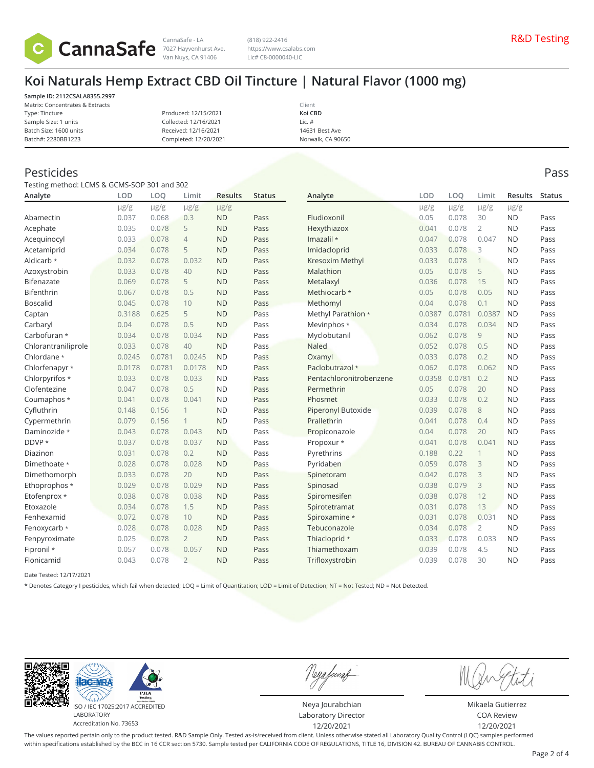

Van Nuys, CA 91406

(818) 922-2416 https://www.csalabs.com Lic# C8-0000040-LIC

# **Koi Naturals Hemp Extract CBD Oil Tincture | Natural Flavor (1000 mg)**

**Sample ID: 2112CSALA8355.2997** Matrix: Concentrates & Extracts Type: Tincture Sample Size: 1 units Batch Size: 1600 units

Produced: 12/15/2021 Collected: 12/16/2021 Received: 12/16/2021 Completed: 12/20/2021

Client **Koi CBD** Lic. # 14631 Best Ave Norwalk, CA 90650

### Pesticides Pass

Batch#: 2280BB1223

Testing method: LCMS & GCMS-SOP 301 and 302

| Analyte             | <b>LOD</b> | LOO       | Limit          | <b>Results</b> | <b>Status</b> | Analyte                 | <b>LOD</b> | LOO       | Limit          | <b>Results</b> | <b>Status</b> |
|---------------------|------------|-----------|----------------|----------------|---------------|-------------------------|------------|-----------|----------------|----------------|---------------|
|                     | $\mu$ g/g  | $\mu$ g/g | $\mu$ g/g      | $\mu$ g/g      |               |                         | $\mu$ g/g  | $\mu$ g/g | $\mu$ g/g      | $\mu$ g/g      |               |
| Abamectin           | 0.037      | 0.068     | 0.3            | <b>ND</b>      | Pass          | Fludioxonil             | 0.05       | 0.078     | 30             | <b>ND</b>      | Pass          |
| Acephate            | 0.035      | 0.078     | 5              | <b>ND</b>      | Pass          | Hexythiazox             | 0.041      | 0.078     | $\overline{2}$ | <b>ND</b>      | Pass          |
| Acequinocyl         | 0.033      | 0.078     | $\overline{4}$ | <b>ND</b>      | Pass          | Imazalil *              | 0.047      | 0.078     | 0.047          | <b>ND</b>      | Pass          |
| Acetamiprid         | 0.034      | 0.078     | 5              | <b>ND</b>      | Pass          | Imidacloprid            | 0.033      | 0.078     | 3              | <b>ND</b>      | Pass          |
| Aldicarb *          | 0.032      | 0.078     | 0.032          | <b>ND</b>      | Pass          | Kresoxim Methyl         | 0.033      | 0.078     | $\mathbf{1}$   | <b>ND</b>      | Pass          |
| Azoxystrobin        | 0.033      | 0.078     | 40             | <b>ND</b>      | Pass          | Malathion               | 0.05       | 0.078     | 5              | <b>ND</b>      | Pass          |
| Bifenazate          | 0.069      | 0.078     | 5              | <b>ND</b>      | Pass          | Metalaxyl               | 0.036      | 0.078     | 15             | <b>ND</b>      | Pass          |
| Bifenthrin          | 0.067      | 0.078     | 0.5            | <b>ND</b>      | Pass          | Methiocarb *            | 0.05       | 0.078     | 0.05           | <b>ND</b>      | Pass          |
| <b>Boscalid</b>     | 0.045      | 0.078     | 10             | <b>ND</b>      | Pass          | Methomyl                | 0.04       | 0.078     | 0.1            | <b>ND</b>      | Pass          |
| Captan              | 0.3188     | 0.625     | 5              | <b>ND</b>      | Pass          | Methyl Parathion *      | 0.0387     | 0.0781    | 0.0387         | <b>ND</b>      | Pass          |
| Carbaryl            | 0.04       | 0.078     | 0.5            | <b>ND</b>      | Pass          | Mevinphos *             | 0.034      | 0.078     | 0.034          | <b>ND</b>      | Pass          |
| Carbofuran *        | 0.034      | 0.078     | 0.034          | <b>ND</b>      | Pass          | Myclobutanil            | 0.062      | 0.078     | 9              | <b>ND</b>      | Pass          |
| Chlorantraniliprole | 0.033      | 0.078     | 40             | <b>ND</b>      | Pass          | <b>Naled</b>            | 0.052      | 0.078     | 0.5            | <b>ND</b>      | Pass          |
| Chlordane *         | 0.0245     | 0.0781    | 0.0245         | <b>ND</b>      | Pass          | Oxamyl                  | 0.033      | 0.078     | 0.2            | <b>ND</b>      | Pass          |
| Chlorfenapyr *      | 0.0178     | 0.0781    | 0.0178         | <b>ND</b>      | Pass          | Paclobutrazol *         | 0.062      | 0.078     | 0.062          | <b>ND</b>      | Pass          |
| Chlorpyrifos *      | 0.033      | 0.078     | 0.033          | <b>ND</b>      | Pass          | Pentachloronitrobenzene | 0.0358     | 0.0781    | 0.2            | <b>ND</b>      | Pass          |
| Clofentezine        | 0.047      | 0.078     | 0.5            | <b>ND</b>      | Pass          | Permethrin              | 0.05       | 0.078     | 20             | <b>ND</b>      | Pass          |
| Coumaphos *         | 0.041      | 0.078     | 0.041          | <b>ND</b>      | Pass          | Phosmet                 | 0.033      | 0.078     | 0.2            | <b>ND</b>      | Pass          |
| Cyfluthrin          | 0.148      | 0.156     | 1              | <b>ND</b>      | Pass          | Piperonyl Butoxide      | 0.039      | 0.078     | 8              | <b>ND</b>      | Pass          |
| Cypermethrin        | 0.079      | 0.156     | 1              | <b>ND</b>      | Pass          | Prallethrin             | 0.041      | 0.078     | 0.4            | <b>ND</b>      | Pass          |
| Daminozide *        | 0.043      | 0.078     | 0.043          | <b>ND</b>      | Pass          | Propiconazole           | 0.04       | 0.078     | 20             | <b>ND</b>      | Pass          |
| DDVP *              | 0.037      | 0.078     | 0.037          | <b>ND</b>      | Pass          | Propoxur *              | 0.041      | 0.078     | 0.041          | <b>ND</b>      | Pass          |
| Diazinon            | 0.031      | 0.078     | 0.2            | <b>ND</b>      | Pass          | Pyrethrins              | 0.188      | 0.22      | $\mathbf{1}$   | <b>ND</b>      | Pass          |
| Dimethoate *        | 0.028      | 0.078     | 0.028          | <b>ND</b>      | Pass          | Pyridaben               | 0.059      | 0.078     | 3              | <b>ND</b>      | Pass          |
| Dimethomorph        | 0.033      | 0.078     | 20             | <b>ND</b>      | Pass          | Spinetoram              | 0.042      | 0.078     | 3              | <b>ND</b>      | Pass          |
| Ethoprophos *       | 0.029      | 0.078     | 0.029          | <b>ND</b>      | Pass          | Spinosad                | 0.038      | 0.079     | 3              | <b>ND</b>      | Pass          |
| Etofenprox *        | 0.038      | 0.078     | 0.038          | <b>ND</b>      | Pass          | Spiromesifen            | 0.038      | 0.078     | 12             | <b>ND</b>      | Pass          |
| Etoxazole           | 0.034      | 0.078     | 1.5            | <b>ND</b>      | Pass          | Spirotetramat           | 0.031      | 0.078     | 13             | <b>ND</b>      | Pass          |
| Fenhexamid          | 0.072      | 0.078     | 10             | <b>ND</b>      | Pass          | Spiroxamine *           | 0.031      | 0.078     | 0.031          | <b>ND</b>      | Pass          |
| Fenoxycarb *        | 0.028      | 0.078     | 0.028          | <b>ND</b>      | Pass          | Tebuconazole            | 0.034      | 0.078     | $\overline{2}$ | <b>ND</b>      | Pass          |
| Fenpyroximate       | 0.025      | 0.078     | $\overline{2}$ | <b>ND</b>      | Pass          | Thiacloprid *           | 0.033      | 0.078     | 0.033          | <b>ND</b>      | Pass          |
| Fipronil *          | 0.057      | 0.078     | 0.057          | <b>ND</b>      | Pass          | Thiamethoxam            | 0.039      | 0.078     | 4.5            | <b>ND</b>      | Pass          |
| Flonicamid          | 0.043      | 0.078     | $\overline{2}$ | <b>ND</b>      | Pass          | Trifloxystrobin         | 0.039      | 0.078     | 30             | <b>ND</b>      | Pass          |

Date Tested: 12/17/2021

\* Denotes Category I pesticides, which fail when detected; LOQ = Limit of Quantitation; LOD = Limit of Detection; NT = Not Tested; ND = Not Detected.



ISO / IEC 17025:2017 ACCREDITED Accreditation No. 73653

Neya fouraf

Neya Jourabchian Laboratory Director 12/20/2021

Mikaela Gutierrez COA Review 12/20/2021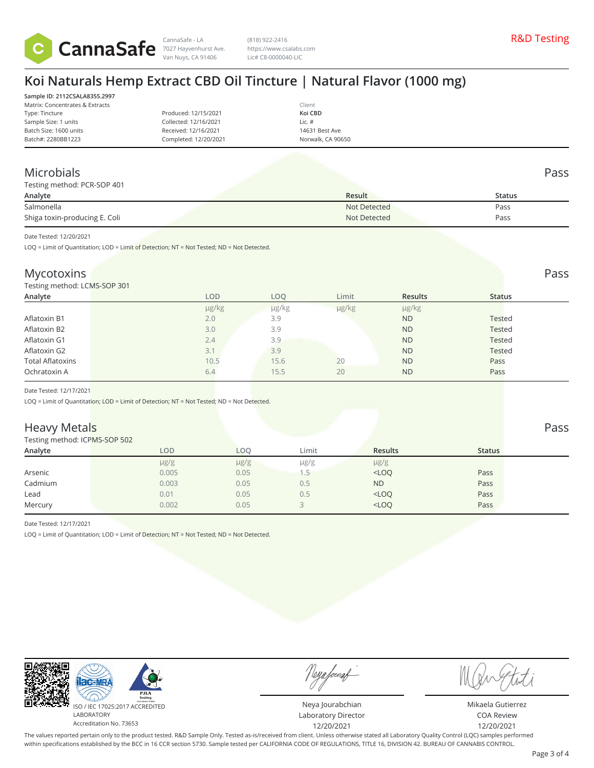

Van Nuys, CA 91406

(818) 922-2416 https://www.csalabs.com Lic# C8-0000040-LIC

# **Koi Naturals Hemp Extract CBD Oil Tincture | Natural Flavor (1000 mg)**

**Sample ID: 2112CSALA8355.2997** Matrix: Concentrates & Extracts Type: Tincture Sample Size: 1 units Batch Size: 1600 units Batch#: 2280BB1223

Produced: 12/15/2021 Collected: 12/16/2021 Received: 12/16/2021 Completed: 12/20/2021 Client **Koi CBD** Lic. # 14631 Best Ave Norwalk, CA 90650

### Microbials Pass

| Testing method: PCR-SOP 401   |              |               |  |  |  |  |  |
|-------------------------------|--------------|---------------|--|--|--|--|--|
| Analyte                       | Result       | <b>Status</b> |  |  |  |  |  |
| Salmonella                    | Not Detected | Pass          |  |  |  |  |  |
| Shiga toxin-producing E. Coli | Not Detected | Pass          |  |  |  |  |  |

Date Tested: 12/20/2021

LOQ = Limit of Quantitation; LOD = Limit of Detection; NT = Not Tested; ND = Not Detected.

### Mycotoxins Pass **Pass** Pass **Pass** Pass **Pass** Pass **Pass Pass Pass Pass Pass Pass**

Testing method: LCMS-SOP 301

| Analyte                 |     | <b>LOD</b> | LOO   | Limit | <b>Results</b> | <b>Status</b> |  |  |  |
|-------------------------|-----|------------|-------|-------|----------------|---------------|--|--|--|
|                         |     | µg/kg      | µg/kg | µg/kg | $\mu$ g/kg     |               |  |  |  |
| Aflatoxin B1            | 2.0 |            | 3.9   |       | <b>ND</b>      | Tested        |  |  |  |
| Aflatoxin B2            | 3.0 |            | 3.9   |       | <b>ND</b>      | <b>Tested</b> |  |  |  |
| Aflatoxin G1            | 2.4 |            | 3.9   |       | <b>ND</b>      | Tested        |  |  |  |
| Aflatoxin G2            | 3.1 |            | 3.9   |       | <b>ND</b>      | <b>Tested</b> |  |  |  |
| <b>Total Aflatoxins</b> |     | 10.5       | 15.6  | 20    | <b>ND</b>      | Pass          |  |  |  |
| Ochratoxin A            | 6.4 |            | 15.5  | 20    | <b>ND</b>      | Pass          |  |  |  |
|                         |     |            |       |       |                |               |  |  |  |

Date Tested: 12/17/2021

LOQ = Limit of Quantitation; LOD = Limit of Detection; NT = Not Tested; ND = Not Detected.

### **Heavy Metals** Pass Pass **Pass**

#### Testing method: ICPMS-SOP 502

| <b>I COULTE THE LITER TO LITTLE AT 1910</b> |            |            |           |                |               |  |
|---------------------------------------------|------------|------------|-----------|----------------|---------------|--|
| Analyte                                     | <b>LOD</b> | <b>LOO</b> | Limit     | <b>Results</b> | <b>Status</b> |  |
|                                             | $\mu$ g/g  | $\mu$ g/g  | $\mu$ g/g | $\mu$ g/g      |               |  |
| Arsenic                                     | 0.005      | 0.05       | 1.5       | $<$ LOQ        | Pass          |  |
| Cadmium                                     | 0.003      | 0.05       | 0.5       | <b>ND</b>      | Pass          |  |
| Lead                                        | 0.01       | 0.05       | 0.5       | $<$ LOQ        | Pass          |  |
| Mercury                                     | 0.002      | 0.05       |           | $<$ LOQ        | Pass          |  |
|                                             |            |            |           |                |               |  |

Date Tested: 12/17/2021

LOQ = Limit of Quantitation; LOD = Limit of Detection; NT = Not Tested; ND = Not Detected.



Neya fouraf

Neya Jourabchian Laboratory Director 12/20/2021